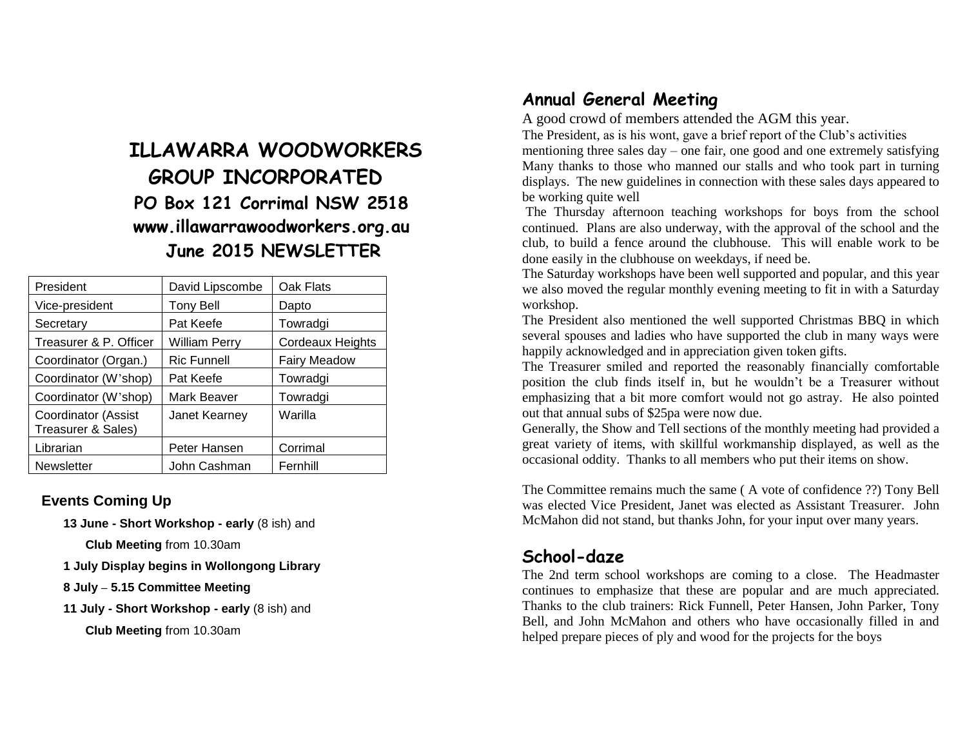# **ILLAWARRA WOODWORKERS GROUP INCORPORATED PO Box 121 Corrimal NSW 2518 www.illawarrawoodworkers.org.au June 2015 NEWSLETTER**

| President                                        | David Lipscombe      | Oak Flats           |
|--------------------------------------------------|----------------------|---------------------|
| Vice-president                                   | <b>Tony Bell</b>     | Dapto               |
| Secretary                                        | Pat Keefe            | Towradgi            |
| Treasurer & P. Officer                           | <b>William Perry</b> | Cordeaux Heights    |
| Coordinator (Organ.)                             | <b>Ric Funnell</b>   | <b>Fairy Meadow</b> |
| Coordinator (W'shop)                             | Pat Keefe            | Towradgi            |
| Coordinator (W'shop)                             | Mark Beaver          | Towradgi            |
| <b>Coordinator (Assist</b><br>Treasurer & Sales) | Janet Kearney        | Warilla             |
| Librarian                                        | Peter Hansen         | Corrimal            |
| <b>Newsletter</b>                                | John Cashman         | Fernhill            |

#### **Events Coming Up**

**13 June - Short Workshop - early** (8 ish) and

**Club Meeting** from 10.30am

**1 July Display begins in Wollongong Library**

**8 July – 5.15 Committee Meeting**

**11 July - Short Workshop - early** (8 ish) and

**Club Meeting** from 10.30am

#### **Annual General Meeting**

A good crowd of members attended the AGM this year.

The President, as is his wont, gave a brief report of the Club's activities

mentioning three sales day – one fair, one good and one extremely satisfying Many thanks to those who manned our stalls and who took part in turning displays. The new guidelines in connection with these sales days appeared to be working quite well

The Thursday afternoon teaching workshops for boys from the school continued. Plans are also underway, with the approval of the school and the club, to build a fence around the clubhouse. This will enable work to be done easily in the clubhouse on weekdays, if need be.

The Saturday workshops have been well supported and popular, and this year we also moved the regular monthly evening meeting to fit in with a Saturday workshop.

The President also mentioned the well supported Christmas BBQ in which several spouses and ladies who have supported the club in many ways were happily acknowledged and in appreciation given token gifts.

The Treasurer smiled and reported the reasonably financially comfortable position the club finds itself in, but he wouldn't be a Treasurer without emphasizing that a bit more comfort would not go astray. He also pointed out that annual subs of \$25pa were now due.

Generally, the Show and Tell sections of the monthly meeting had provided a great variety of items, with skillful workmanship displayed, as well as the occasional oddity. Thanks to all members who put their items on show.

The Committee remains much the same ( A vote of confidence ??) Tony Bell was elected Vice President, Janet was elected as Assistant Treasurer. John McMahon did not stand, but thanks John, for your input over many years.

#### **School-daze**

The 2nd term school workshops are coming to a close. The Headmaster continues to emphasize that these are popular and are much appreciated. Thanks to the club trainers: Rick Funnell, Peter Hansen, John Parker, Tony Bell, and John McMahon and others who have occasionally filled in and helped prepare pieces of ply and wood for the projects for the boys